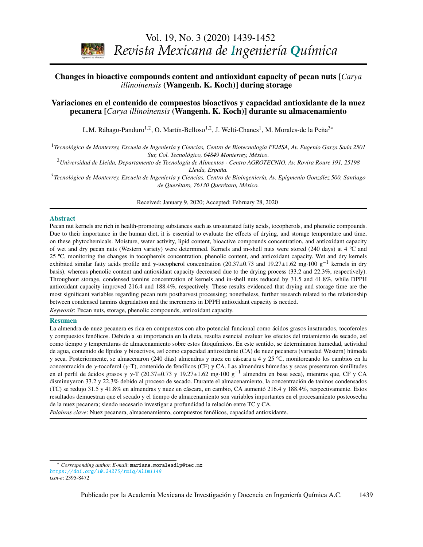

# <span id="page-0-0"></span>Changes in bioactive compounds content and antioxidant capacity of pecan nuts [*Carya* **Volumen 8, número 3, 2009 / Volume 8, number 3, 2009** *illinoinensis* (Wangenh. K. Koch)] during storage

#### 213 Derivation and application of the Stefan-Maxwell equations Variaciones en el contenido de compuestos bioactivos y capacidad antioxidante de la nuez pecanera [*Carya illinoinensis* (Wangenh. K. Koch)] durante su almacenamiento

L.M. Rábago-Panduro<sup>1,2</sup>, O. Martín-Belloso<sup>1,2</sup>, J. Welti-Chanes<sup>1</sup>, M. Morales-de la Peña<sup>[3\\*](#page-0-1)</sup>

*Stephen Whitaker* <sup>1</sup>*Tecnológico de Monterrey, Escuela de Ingeniería y Ciencias, Centro de Biotecnología FEMSA, Av. Eugenio Garza Sada 2501 Sur, Col. Tecnológico, 64849 Monterrey, México.*

*Biotecnología / Biotechnology*  <sup>2</sup>*Universidad de Lleida, Departamento de Tecnología de Alimentos - Centro AGROTECNIO, Av. Rovira Roure 191, 25198 Lleida, España.*

<sup>3</sup><br>Tecnológico de Monterrey, Escuela de Ingeniería y Ciencias, Centro de Bioingeniería, Av. Epigmenio González 500, Santiago de Querétaro, 76130 Querétaro, México.

Received: January 9, 2020; Accepted: February 28, 2020

#### Abstract

ADSU act<br>Pecan nut kernels are rich in health-promoting substances such as unsaturated fatty acids, tocopherols, and phenolic compounds. Due to their importance in the human diet, it is essential to evaluate the effects of drying, and storage temperature and time, on these phytochemicals. Moisture, water activity, lipid content, bioactive compounds concentration, and antioxidant capacity 25 °C, monitoring the changes in tocopherols concentration, phenolic content, and antioxidant capacity. Wet and dry kernels exhibited similar fatty acids profile and γ-tocopherol concentration (20.37±0.73 and 19.27±1.62 mg·100 g<sup>-1</sup> kernels in dry heavily approximate and antioxidant capacity decreased due to the drying process (33.2 and 22.3% basis), whereas phenolic content and antioxidant capacity decreased due to the drying process (33.2 and 22.3%, respectively). antioxidant capacity improved 216.4 and 188.4%, respectively. These results evidenced that drying and storage time are the most significant variables regarding pecan nuts postharvest processing; nonetheless, further research related to the relationship of wet and dry pecan nuts (Western variety) were determined. Kernels and in-shell nuts were stored (240 days) at 4 ºC and Throughout storage, condensed tannins concentration of kernels and in-shell nuts reduced by 31.5 and 41.8%, while DPPH between condensed tannins degradation and the increments in DPPH antioxidant capacity is needed.

Keywords: Pecan nuts, storage, phenolic compounds, antioxidant capacity.

and sediments)

#### Resumen

*G. Inei-Shizukawa, H. A. Velasco-Bedrán, G. F. Gutiérrez-López and H. Hernández-Sánchez*  La almendra de nuez pecanera es rica en compuestos con alto potencial funcional como ácidos grasos insaturados, tocoferoles *Ingeniería de procesos / Process engineering*  de agua, contenido de lípidos y bioactivos, así como capacidad antioxidante (CA) de nuez pecanera (variedad Western) húmeda y seca. Posteriormente, se almacenaron (240 días) almendras y nuez en cáscara a 4 y 25 °C, monitoreando los cambios en la concentración de γ-tocoferol (γ-T), contenido de fenólicos (CF) y CA. Las almendras húmedas y secas presentaron similitudes<br>en el perfil de ácidos grasos y x-T (20.37+0.73 y 19.27+1.62 mg-100 g<sup>-1</sup> almendra en base seca), disminuyeron 33.2 y 22.3% debido al proceso de secado. Durante el almacenamiento, la concentración de taninos condensados *J.R. Medina, R.L. Romero y G.A. Pérez* (TC) se redujo 31.5 y 41.8% en almendras y nuez en cáscara, en cambio, CA aumentó 216.4 y 188.4%, respectivamente. Estos y compuestos fenólicos. Debido a su importancia en la dieta, resulta esencial evaluar los efectos del tratamiento de secado, así como tiempo y temperaturas de almacenamiento sobre estos fitoquímicos. En este sentido, se determinaron humedad, actividad en el perfil de ácidos grasos y γ-T (20.37±0.73 y 19.27±1.62 mg·100 g<sup>-1</sup> almendra en base seca), mientras que, CF y CA<br>disminuyeron 33.2 y 22.3% debido al proceso de secado. Durante el almacenamiento, la concentración de resultados demuestran que el secado y el tiempo de almacenamiento son variables importantes en el procesamiento postcosecha de la nuez pecanera; siendo necesario investigar a profundidad la relación entre TC y CA.

*Palabras clave*: Nuez pecanera, almacenamiento, compuestos fenólicos, capacidad antioxidante.

<span id="page-0-1"></span><sup>\*</sup> *Corresponding author. E-mail*: mariana.moralesdlp@tec.mx <https://doi.org/10.24275/rmiq/Alim1149> *issn-e*: 2395-8472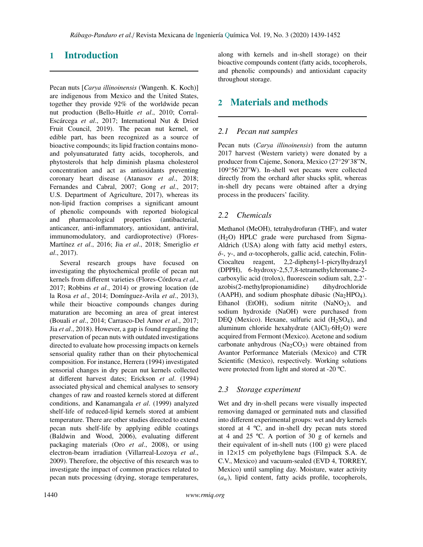# 1 Introduction

Pecan nuts [*Carya illinoinensis* (Wangenh. K. Koch)] are indigenous from Mexico and the United States, together they provide 92% of the worldwide pecan nut production (Bello-Huitle *et al*., 2010; Corral-Escárcega *et al*., 2017; International Nut & Dried Fruit Council, 2019). The pecan nut kernel, or edible part, has been recognized as a source of bioactive compounds; its lipid fraction contains monoand polyunsaturated fatty acids, tocopherols, and phytosterols that help diminish plasma cholesterol concentration and act as antioxidants preventing coronary heart disease (Atanasov *et al*., 2018; Fernandes and Cabral, 2007; Gong *et al*., 2017; U.S. Department of Agriculture, 2017), whereas its non-lipid fraction comprises a significant amount of phenolic compounds with reported biological and pharmacological properties (antibacterial, anticancer, anti-inflammatory, antioxidant, antiviral, immunomodulatory, and cardioprotective) (Flores-Martínez *et al*., 2016; Jia *et al*., 2018; Smeriglio *et al*., 2017).

Several research groups have focused on investigating the phytochemical profile of pecan nut kernels from different varieties (Flores-Córdova *et al*., 2017; Robbins *et al*., 2014) or growing location (de la Rosa *et al*., 2014; Domínguez-Avila *et al*., 2013), while their bioactive compounds changes during maturation are becoming an area of great interest (Bouali *et al*., 2014; Carrasco-Del Amor *et al*., 2017; Jia *et al*., 2018). However, a gap is found regarding the preservation of pecan nuts with outdated investigations directed to evaluate how processing impacts on kernels sensorial quality rather than on their phytochemical composition. For instance, Herrera (1994) investigated sensorial changes in dry pecan nut kernels collected at different harvest dates; Erickson *et al*. (1994) associated physical and chemical analyses to sensory changes of raw and roasted kernels stored at different conditions, and Kanamangala *et al*. (1999) analyzed shelf-life of reduced-lipid kernels stored at ambient temperature. There are other studies directed to extend pecan nuts shelf-life by applying edible coatings (Baldwin and Wood, 2006), evaluating different packaging materials (Oro *et al*., 2008), or using electron-beam irradiation (Villarreal-Lozoya *et al*., 2009). Therefore, the objective of this research was to investigate the impact of common practices related to pecan nuts processing (drying, storage temperatures, along with kernels and in-shell storage) on their bioactive compounds content (fatty acids, tocopherols, and phenolic compounds) and antioxidant capacity throughout storage.

# 2 Materials and methods

### *2.1 Pecan nut samples*

Pecan nuts (*Carya illinoinensis*) from the autumn 2017 harvest (Western variety) were donated by a producer from Cajeme, Sonora, Mexico (27°29'38"N, 109°56'20"W). In-shell wet pecans were collected directly from the orchard after shucks split, whereas in-shell dry pecans were obtained after a drying process in the producers' facility.

### *2.2 Chemicals*

Methanol (MeOH), tetrahydrofuran (THF), and water  $(H<sub>2</sub>O)$  HPLC grade were purchased from Sigma-Aldrich (USA) along with fatty acid methyl esters, δ-, γ-, and α-tocopherols, gallic acid, catechin, Folin-Ciocalteu reagent, 2,2-diphenyl-1-picrylhydrazyl (DPPH), 6-hydroxy-2,5,7,8-tetramethylchromane-2 carboxylic acid (trolox), fluorescein sodium salt, 2,2' azobis(2-methylpropionamidine) dihydrochloride  $(AAPH)$ , and sodium phosphate dibasic  $(Na<sub>2</sub>HPO<sub>4</sub>)$ . Ethanol (EtOH), sodium nitrite (NaNO<sub>2</sub>), and sodium hydroxide (NaOH) were purchased from DEQ (Mexico). Hexane, sulfuric acid  $(H<sub>2</sub>SO<sub>4</sub>)$ , and aluminum chloride hexahydrate  $(AICl<sub>3</sub>·6H<sub>2</sub>O)$  were acquired from Fermont (Mexico). Acetone and sodium carbonate anhydrous (Na<sub>2</sub>CO<sub>3</sub>) were obtained from Avantor Performance Materials (Mexico) and CTR Scientific (Mexico), respectively. Working solutions were protected from light and stored at -20 ºC.

## *2.3 Storage experiment*

Wet and dry in-shell pecans were visually inspected removing damaged or germinated nuts and classified into different experimental groups: wet and dry kernels stored at 4 ºC, and in-shell dry pecan nuts stored at 4 and 25 ºC. A portion of 30 g of kernels and their equivalent of in-shell nuts (100 g) were placed in 12×15 cm polyethylene bags (Filmpack S.A. de C.V., Mexico) and vacuum-sealed (EVD 4, TORREY, Mexico) until sampling day. Moisture, water activity  $(a_w)$ , lipid content, fatty acids profile, tocopherols,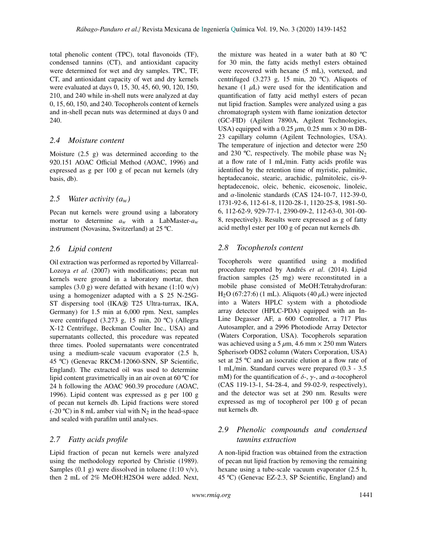total phenolic content (TPC), total flavonoids (TF), condensed tannins (CT), and antioxidant capacity were determined for wet and dry samples. TPC, TF, CT, and antioxidant capacity of wet and dry kernels were evaluated at days 0, 15, 30, 45, 60, 90, 120, 150, 210, and 240 while in-shell nuts were analyzed at day 0, 15, 60, 150, and 240. Tocopherols content of kernels and in-shell pecan nuts was determined at days 0 and 240.

### *2.4 Moisture content*

Moisture (2.5 g) was determined according to the 920.151 AOAC Official Method (AOAC, 1996) and expressed as g per 100 g of pecan nut kernels (dry basis, db).

### *2.5 Water activity (aw)*

Pecan nut kernels were ground using a laboratory mortar to determine  $a_w$  with a LabMaster- $a_w$ instrument (Novasina, Switzerland) at 25 ºC.

### *2.6 Lipid content*

Oil extraction was performed as reported by Villarreal-Lozoya *et al*. (2007) with modifications; pecan nut kernels were ground in a laboratory mortar, then samples  $(3.0 \text{ g})$  were defatted with hexane  $(1:10 \text{ w/v})$ using a homogenizer adapted with a S 25 N-25G-ST dispersing tool (IKA® T25 Ultra-turrax, IKA, Germany) for 1.5 min at 6,000 rpm. Next, samples were centrifuged (3.273 g, 15 min, 20 ºC) (Allegra X-12 Centrifuge, Beckman Coulter Inc., USA) and supernatants collected, this procedure was repeated three times. Pooled supernatants were concentrated using a medium-scale vacuum evaporator (2.5 h, 45 ºC) (Genevac RKCM-12060-SNN, SP Scientific, England). The extracted oil was used to determine lipid content gravimetrically in an air oven at 60 ºC for 24 h following the AOAC 960.39 procedure (AOAC, 1996). Lipid content was expressed as g per 100 g of pecan nut kernels db. Lipid fractions were stored (-20 °C) in 8 mL amber vial with  $N_2$  in the head-space and sealed with parafilm until analyses.

## *2.7 Fatty acids profile*

Lipid fraction of pecan nut kernels were analyzed using the methodology reported by Christie (1989). Samples  $(0.1 \text{ g})$  were dissolved in toluene  $(1:10 \text{ v/v})$ , then 2 mL of 2% MeOH:H2SO4 were added. Next,

the mixture was heated in a water bath at 80 ºC for 30 min, the fatty acids methyl esters obtained were recovered with hexane (5 mL), vortexed, and centrifuged (3.273 g, 15 min, 20 ºC). Aliquots of hexane  $(1 \mu L)$  were used for the identification and quantification of fatty acid methyl esters of pecan nut lipid fraction. Samples were analyzed using a gas chromatograph system with flame ionization detector (GC-FID) (Agilent 7890A, Agilent Technologies, USA) equipped with a 0.25  $\mu$ m, 0.25 mm  $\times$  30 m DB-23 capillary column (Agilent Technologies, USA). The temperature of injection and detector were 250 and 230 °C, respectively. The mobile phase was  $N_2$ at a flow rate of 1 mL/min. Fatty acids profile was identified by the retention time of myristic, palmitic, heptadecanoic, stearic, arachidic, palmitoleic, cis-9 heptadecenoic, oleic, behenic, eicosenoic, linoleic, and  $\alpha$ -linolenic standards (CAS 124-10-7, 112-39-0, 1731-92-6, 112-61-8, 1120-28-1, 1120-25-8, 1981-50- 6, 112-62-9, 929-77-1, 2390-09-2, 112-63-0, 301-00- 8, respectively). Results were expressed as g of fatty acid methyl ester per 100 g of pecan nut kernels db.

## *2.8 Tocopherols content*

Tocopherols were quantified using a modified procedure reported by Andrés *et al*. (2014). Lipid fraction samples (25 mg) were reconstituted in a mobile phase consisted of MeOH:Tetrahydrofuran: H<sub>2</sub>O (67:27:6) (1 mL). Aliquots (40  $\mu$ L) were injected into a Waters HPLC system with a photodiode array detector (HPLC-PDA) equipped with an In-Line Degasser AF, a 600 Controller, a 717 Plus Autosampler, and a 2996 Photodiode Array Detector (Waters Corporation, USA). Tocopherols separation was achieved using a 5  $\mu$ m, 4.6 mm × 250 mm Waters Spherisorb ODS2 column (Waters Corporation, USA) set at 25 ºC and an isocratic elution at a flow rate of 1 mL/min. Standard curves were prepared (0.3 - 3.5 mM) for the quantification of  $\delta$ -,  $\gamma$ -, and  $\alpha$ -tocopherol (CAS 119-13-1, 54-28-4, and 59-02-9, respectively), and the detector was set at 290 nm. Results were expressed as mg of tocopherol per 100 g of pecan nut kernels db.

## *2.9 Phenolic compounds and condensed tannins extraction*

A non-lipid fraction was obtained from the extraction of pecan nut lipid fraction by removing the remaining hexane using a tube-scale vacuum evaporator (2.5 h, 45 ºC) (Genevac EZ-2.3, SP Scientific, England) and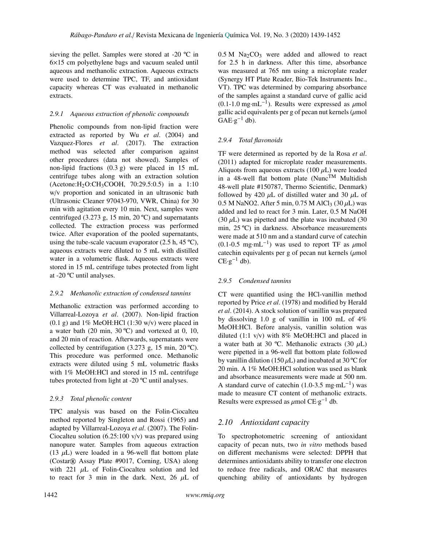sieving the pellet. Samples were stored at -20 ºC in 6×15 cm polyethylene bags and vacuum sealed until aqueous and methanolic extraction. Aqueous extracts were used to determine TPC, TF, and antioxidant capacity whereas CT was evaluated in methanolic extracts.

#### *2.9.1 Aqueous extraction of phenolic compounds*

Phenolic compounds from non-lipid fraction were extracted as reported by Wu *et al*. (2004) and Vazquez-Flores *et al*. (2017). The extraction method was selected after comparison against other procedures (data not showed). Samples of non-lipid fractions (0.3 g) were placed in 15 mL centrifuge tubes along with an extraction solution (Acetone:H2O:CH3COOH, 70:29.5:0.5) in a 1:10 w/v proportion and sonicated in an ultrasonic bath (Ultrasonic Cleaner 97043-970, VWR, China) for 30 min with agitation every 10 min. Next, samples were centrifuged (3.273 g, 15 min, 20 ºC) and supernatants collected. The extraction process was performed twice. After evaporation of the pooled supernatants, using the tube-scale vacuum evaporator  $(2.5 \text{ h}, 45 \text{ °C})$ , aqueous extracts were diluted to 5 mL with distilled water in a volumetric flask. Aqueous extracts were stored in 15 mL centrifuge tubes protected from light at -20 ºC until analyses.

#### *2.9.2 Methanolic extraction of condensed tannins*

Methanolic extraction was performed according to Villarreal-Lozoya *et al*. (2007). Non-lipid fraction  $(0.1 \text{ g})$  and  $1\%$  MeOH:HCl  $(1:30 \text{ w/v})$  were placed in a water bath (20 min, 30 ºC) and vortexed at 0, 10, and 20 min of reaction. Afterwards, supernatants were collected by centrifugation  $(3.273 \text{ g}, 15 \text{ min}, 20 \text{ }^{\circ}\text{C}).$ This procedure was performed once. Methanolic extracts were diluted using 5 mL volumetric flasks with 1% MeOH:HCl and stored in 15 mL centrifuge tubes protected from light at -20 ºC until analyses.

#### *2.9.3 Total phenolic content*

TPC analysis was based on the Folin-Ciocalteu method reported by Singleton and Rossi (1965) and adapted by Villarreal-Lozoya *et al*. (2007). The Folin-Ciocalteu solution (6.25:100 v/v) was prepared using nanopure water. Samples from aqueous extraction (13  $\mu$ L) were loaded in a 96-well flat bottom plate (Costar® Assay Plate #9017, Corning, USA) along with 221  $\mu$ L of Folin-Ciocalteu solution and led to react for 3 min in the dark. Next,  $26 \mu L$  of

 $0.5 M$  Na<sub>2</sub>CO<sub>3</sub> were added and allowed to react for 2.5 h in darkness. After this time, absorbance was measured at 765 nm using a microplate reader (Synergy HT Plate Reader, Bio-Tek Instruments Inc., VT). TPC was determined by comparing absorbance of the samples against a standard curve of gallic acid  $(0.1-1.0 \text{ mg} \cdot \text{mL}^{-1})$ . Results were expressed as  $\mu$ mology and equivalents per g of pecan nut kernels  $(\mu \text{mol})$ gallic acid equivalents per g of pecan nut kernels ( $\mu$ mol  $GAE·g^{-1}$  db).

#### *2.9.4 Total flavonoids*

TF were determined as reported by de la Rosa *et al*. (2011) adapted for microplate reader measurements. Aliquots from aqueous extracts (100  $\mu$ L) were loaded in a 48-well flat bottom plate (Nunc<sup>TM</sup> Multidish 48-well plate #150787, Thermo Scientific, Denmark) followed by 420  $\mu$ L of distilled water and 30  $\mu$ L of 0.5 M NaNO2. After 5 min, 0.75 M AlCl<sub>3</sub> (30  $\mu$ L) was added and led to react for 3 min. Later, 0.5 M NaOH (30  $\mu$ L) was pipetted and the plate was incubated (30 min, 25 ºC) in darkness. Absorbance measurements were made at 510 nm and a standard curve of catechin  $(0.1-0.5 \text{ mg} \cdot \text{mL}^{-1})$  was used to report TF as  $\mu$ mologiechin equivalents per g of pecan nut kernels ( $\mu$ mol catechin equivalents per g of pecan nut kernels  $(\mu \text{mol})$  $CE·g^{-1}$  db).

#### *2.9.5 Condensed tannins*

CT were quantified using the HCl-vanillin method reported by Price *et al*. (1978) and modified by Herald *et al*. (2014). A stock solution of vanillin was prepared by dissolving 1.0 g of vanillin in 100 mL of 4% MeOH:HCl. Before analysis, vanillin solution was diluted  $(1:1 \text{ } v/v)$  with 8% MeOH:HCl and placed in a water bath at 30 °C. Methanolic extracts (30  $\mu$ L) were pipetted in a 96-well flat bottom plate followed by vanillin dilution (150  $\mu$ L) and incubated at 30 °C for 20 min. A 1% MeOH:HCl solution was used as blank and absorbance measurements were made at 500 nm. A standard curve of catechin  $(1.0\n-3.5$  mg·mL<sup>-1</sup>) was made to measure CT content of methanolic extracts. Results were expressed as  $\mu$ mol CE·g<sup>-1</sup> db.

### *2.10 Antioxidant capacity*

To spectrophotometric screening of antioxidant capacity of pecan nuts, two *in vitro* methods based on different mechanisms were selected: DPPH that determines antioxidants ability to transfer one electron to reduce free radicals, and ORAC that measures quenching ability of antioxidants by hydrogen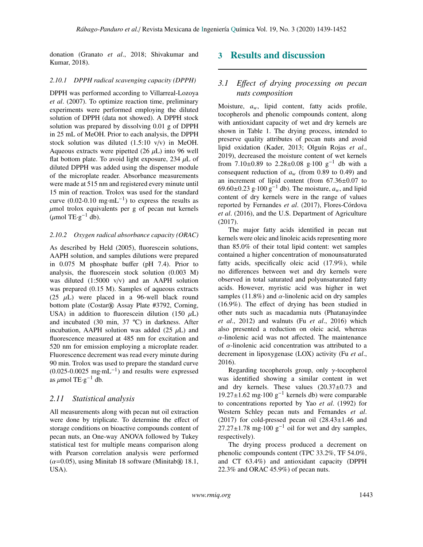donation (Granato *et al*., 2018; Shivakumar and Kumar, 2018).

### *2.10.1 DPPH radical scavenging capacity (DPPH)*

DPPH was performed according to Villarreal-Lozoya *et al*. (2007). To optimize reaction time, preliminary experiments were performed employing the diluted solution of DPPH (data not showed). A DPPH stock solution was prepared by dissolving 0.01 g of DPPH in 25 mL of MeOH. Prior to each analysis, the DPPH stock solution was diluted (1.5:10 v/v) in MeOH. Aqueous extracts were pipetted  $(26 \mu L)$  into 96 well flat bottom plate. To avoid light exposure, 234  $\mu$ L of diluted DPPH was added using the dispenser module of the microplate reader. Absorbance measurements were made at 515 nm and registered every minute until 15 min of reaction. Trolox was used for the standard curve  $(0.02-0.10 \text{ mg} \cdot \text{mL}^{-1})$  to express the results as  $\mu$ mol trolox equivalents per g of pecan nut kernels  $(\mu \text{mol TE} \cdot \text{g}^{-1} \text{ db}).$ 

#### *2.10.2 Oxygen radical absorbance capacity (ORAC)*

As described by Held (2005), fluorescein solutions, AAPH solution, and samples dilutions were prepared in 0.075 M phosphate buffer (pH 7.4). Prior to analysis, the fluorescein stock solution (0.003 M) was diluted (1:5000 v/v) and an AAPH solution was prepared (0.15 M). Samples of aqueous extracts (25  $\mu$ L) were placed in a 96-well black round bottom plate (Costar® Assay Plate #3792, Corning, USA) in addition to fluorescein dilution (150  $\mu$ L) and incubated (30 min, 37 ºC) in darkness. After incubation, AAPH solution was added  $(25 \mu L)$  and fluorescence measured at 485 nm for excitation and 520 nm for emission employing a microplate reader. Fluorescence decrement was read every minute during 90 min. Trolox was used to prepare the standard curve  $(0.025-0.0025$  mg·mL<sup>-1</sup>) and results were expressed as  $\mu$ mol TE·g<sup>-1</sup> db.

### *2.11 Statistical analysis*

All measurements along with pecan nut oil extraction were done by triplicate. To determine the effect of storage conditions on bioactive compounds content of pecan nuts, an One-way ANOVA followed by Tukey statistical test for multiple means comparison along with Pearson correlation analysis were performed  $(\alpha=0.05)$ , using Minitab 18 software (Minitab® 18.1, USA).

## 3 Results and discussion

### *3.1 E*ff*ect of drying processing on pecan nuts composition*

Moisture, *aw*, lipid content, fatty acids profile, tocopherols and phenolic compounds content, along with antioxidant capacity of wet and dry kernels are shown in Table 1. The drying process, intended to preserve quality attributes of pecan nuts and avoid lipid oxidation (Kader, 2013; Olguín Rojas *et al*., 2019), decreased the moisture content of wet kernels from  $7.10\pm0.89$  to  $2.28\pm0.08$  g·100 g<sup>-1</sup> db with a consequent reduction of  $a_w$  (from 0.89 to 0.49) and an increment of lipid content (from 67.36±0.07 to 69.60±0.23 g·100 g<sup>-1</sup> db). The moisture,  $a_w$ , and lipid content of dry kernels were in the range of values reported by Fernandes *et al*. (2017), Flores-Córdova *et al*. (2016), and the U.S. Department of Agriculture (2017).

The major fatty acids identified in pecan nut kernels were oleic and linoleic acids representing more than 85.0% of their total lipid content: wet samples contained a higher concentration of monounsaturated fatty acids, specifically oleic acid (17.9%), while no differences between wet and dry kernels were observed in total saturated and polyunsaturated fatty acids. However, myristic acid was higher in wet samples (11.8%) and  $\alpha$ -linolenic acid on dry samples (16.9%). The effect of drying has been studied in other nuts such as macadamia nuts (Phatanayindee *et al*., 2012) and walnuts (Fu *et al*., 2016) which also presented a reduction on oleic acid, whereas  $\alpha$ -linolenic acid was not affected. The maintenance of  $\alpha$ -linolenic acid concentration was attributed to a decrement in lipoxygenase (LOX) activity (Fu *et al*., 2016).

Regarding to copherols group, only  $\gamma$ -tocopherol was identified showing a similar content in wet and dry kernels. These values (20.37±0.73 and 19.27±1.62 mg·100 g−<sup>1</sup> kernels db) were comparable to concentrations reported by Yao *et al*. (1992) for Western Schley pecan nuts and Fernandes *et al*. (2017) for cold-pressed pecan oil  $(28.43\pm1.46$  and  $27.27\pm1.78$  mg·100 g<sup>-1</sup> oil for wet and dry samples, respectively).

The drying process produced a decrement on phenolic compounds content (TPC 33.2%, TF 54.0%, and CT 63.4%) and antioxidant capacity (DPPH 22.3% and ORAC 45.9%) of pecan nuts.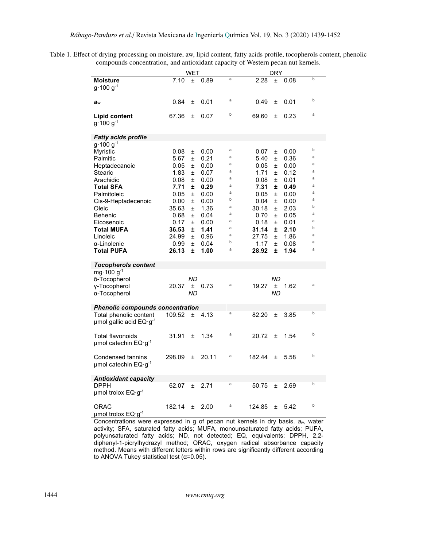Table 1. Effect of drying processing on moisture, aw, lipid content, fatty acids profile, tocopherols content, phenolic compounds concentration, and antioxidant capacity of Western pecan nut kernels.

|                                         | WET    |                 |       |        | DRY    |                 |      |        |
|-----------------------------------------|--------|-----------------|-------|--------|--------|-----------------|------|--------|
| <b>Moisture</b><br>$g \cdot 100 g^{-1}$ | 7.10   | 土               | 0.89  | a      | 2.28   | 土               | 0.08 | b      |
| aw                                      | 0.84   | Ŧ               | 0.01  | a      | 0.49   | Ŧ               | 0.01 | b      |
| Lipid content<br>$g \cdot 100 g^{-1}$   | 67.36  | 土               | 0.07  | b      | 69.60  | Ŧ               | 0.23 | a      |
| <b>Fatty acids profile</b>              |        |                 |       |        |        |                 |      |        |
| $g \cdot 100 g^{-1}$<br>Myristic        | 0.08   | Ŧ               | 0.00  | a      | 0.07   | Ŧ               | 0.00 | b      |
| Palmitic                                | 5.67   | Ŧ               | 0.21  | a      | 5.40   | $\pm$           | 0.36 | a      |
| Heptadecanoic                           | 0.05   | Ŧ               | 0.00  | a      | 0.05   | Ŧ               | 0.00 | a      |
| Stearic                                 | 1.83   | Ŧ               | 0.07  | a      | 1.71   | Ŧ               | 0.12 | a      |
| Arachidic                               | 0.08   | Ŧ               | 0.00  | a      | 0.08   | Ŧ               | 0.01 | a      |
| <b>Total SFA</b>                        | 7.71   | ±.              | 0.29  | a      | 7.31   | ±               | 0.49 | a      |
| Palmitoleic                             | 0.05   | Ŧ               | 0.00  | a      | 0.05   | Ŧ               | 0.00 | a      |
| Cis-9-Heptadecenoic                     | 0.00   | Ŧ.              | 0.00  | b      | 0.04   | Ŧ               | 0.00 | a      |
| Oleic                                   | 35.63  | Ŧ.              | 1.36  | a      | 30.18  | Ŧ               | 2.03 | b      |
| <b>Behenic</b>                          | 0.68   | Ŧ.              | 0.04  | a      | 0.70   | Ŧ               | 0.05 | a      |
| Eicosenoic                              | 0.17   | Ŧ               | 0.00  | a      | 0.18   | Ŧ               | 0.01 | a<br>b |
| <b>Total MUFA</b>                       | 36.53  | ±.              | 1.41  | a<br>a | 31.14  | ±.              | 2.10 | a      |
| Linoleic                                | 24.99  | Ŧ               | 0.96  | b      | 27.75  | Ŧ               | 1.86 | a      |
| α-Linolenic                             | 0.99   | Ŧ.              | 0.04  | a      | 1.17   | Ŧ.              | 0.08 | a      |
| <b>Total PUFA</b>                       | 26.13  | ±.              | 1.00  |        | 28.92  | ±               | 1.94 |        |
| <b>Tocopherols content</b>              |        |                 |       |        |        |                 |      |        |
| mg $\cdot$ 100 g <sup>-1</sup>          |        |                 |       |        |        |                 |      |        |
| δ-Tocopherol                            |        | ND              |       | a      |        | ND              |      | a      |
| y-Tocopherol                            | 20.37  | ±.<br><b>ND</b> | 0.73  |        | 19.27  | ±.<br><b>ND</b> | 1.62 |        |
| α-Tocopherol                            |        |                 |       |        |        |                 |      |        |
| <b>Phenolic compounds concentration</b> |        |                 |       |        |        |                 |      |        |
| Total phenolic content                  | 109.52 | Ŧ               | 4.13  | a      | 82.20  | $\pm$           | 3.85 | b      |
| umol gallic acid $EQ \cdot g^{-1}$      |        |                 |       |        |        |                 |      |        |
| Total flavonoids                        | 31.91  | Ŧ               | 1.34  | a      | 20.72  | Ŧ               | 1.54 | b      |
| umol catechin EQ·g-1                    |        |                 |       |        |        |                 |      |        |
|                                         |        |                 |       |        |        |                 |      |        |
| Condensed tannins                       | 298.09 | 土               | 20.11 | a      | 182.44 | Ŧ               | 5.58 | b      |
| $\mu$ mol catechin EQ·g <sup>-1</sup>   |        |                 |       |        |        |                 |      |        |
| Antioxidant capacity                    |        |                 |       |        |        |                 |      |        |
| <b>DPPH</b>                             | 62.07  | $\pm$           | 2.71  | a      | 50.75  | $\pm$           | 2.69 | b      |
| $\mu$ mol trolox EQ·g <sup>-1</sup>     |        |                 |       |        |        |                 |      |        |
|                                         |        |                 |       |        |        |                 |      |        |
| ORAC                                    | 182.14 | 土               | 2.00  | a      | 124.85 | Ŧ               | 5.42 | b      |
| umol trolox EQ·g-1                      |        |                 |       |        |        |                 |      |        |

Concentrations were expressed in g of pecan nut kernels in dry basis. *aw*, water activity; SFA, saturated fatty acids; MUFA, monounsaturated fatty acids; PUFA, polyunsaturated fatty acids; ND, not detected; EQ, equivalents; DPPH, 2,2 diphenyl-1-picrylhydrazyl method; ORAC, oxygen radical absorbance capacity method. Means with different letters within rows are significantly different according to ANOVA Tukey statistical test ( $\alpha$ =0.05).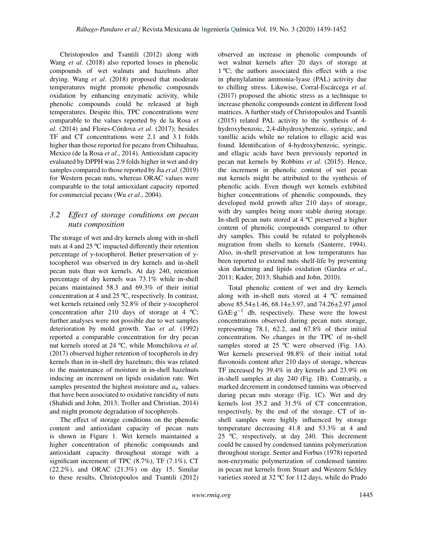Christopoulos and Tsantili (2012) along with Wang *et al*. (2018) also reported losses in phenolic compounds of wet walnuts and hazelnuts after drying. Wang *et al*. (2018) proposed that moderate temperatures might promote phenolic compounds oxidation by enhancing enzymatic activity, while phenolic compounds could be released at high temperatures. Despite this, TPC concentrations were comparable to the values reported by de la Rosa *et al*. (2014) and Flores-Córdova *et al*. (2017); besides TF and CT concentrations were 2.1 and 3.1 folds higher than those reported for pecans from Chihuahua, Mexico (de la Rosa *et al*., 2014). Antioxidant capacity evaluated by DPPH was 2.9 folds higher in wet and dry samples compared to those reported by Jia *et al*. (2019) for Western pecan nuts, whereas ORAC values were comparable to the total antioxidant capacity reported for commercial pecans (Wu *et al*., 2004).

### <span id="page-6-0"></span>*3.2 E*ff*ect of storage conditions on pecan nuts composition*

The storage of wet and dry kernels along with in-shell nuts at 4 and 25 ºC impacted differently their retention percentage of  $γ$ -tocopherol. Better preservation of  $γ$ tocopherol was observed in dry kernels and in-shell pecan nuts than wet kernels. At day 240, retention percentage of dry kernels was 73.1% while in-shell pecans maintained 58.3 and 69.3% of their initial concentration at 4 and 25 ºC, respectively. In contrast, wet kernels retained only 52.8% of their γ-tocopherol concentration after 210 days of storage at 4 ºC; further analyses were not possible due to wet samples deterioration by mold growth. Yao *et al*. (1992) reported a comparable concentration for dry pecan nut kernels stored at 24 ºC, while Momchilova *et al*. (2017) observed higher retention of tocopherols in dry kernels than in in-shell dry hazelnuts; this was related to the maintenance of moisture in in-shell hazelnuts inducing an increment on lipids oxidation rate. Wet samples presented the highest moisture and  $a_w$  values that have been associated to oxidative rancidity of nuts (Shahidi and John, 2013; Troller and Christian, 2014) and might promote degradation of tocopherols.

The effect of storage conditions on the phenolic content and antioxidant capacity of pecan nuts is shown in Figure 1. Wet kernels maintained a higher concentration of phenolic compounds and antioxidant capacity throughout storage with a significant increment of TPC (8.7%), TF (7.1%), CT (22.2%), and ORAC (21.3%) on day 15. Similar to these results, Christopoulos and Tsantili (2012) observed an increase in phenolic compounds of wet walnut kernels after 20 days of storage at 1 ºC; the authors associated this effect with a rise in phenylalanine ammonia-lyase (PAL) activity due to chilling stress. Likewise, Corral-Escárcega *et al*. (2017) proposed the abiotic stress as a technique to increase phenolic compounds content in different food matrices. A further study of Christopoulos and Tsantili (2015) related PAL activity to the synthesis of 4 hydroxybenzoic, 2,4-dihydroxybenzoic, syringic, and vanillic acids while no relation to ellagic acid was found. Identification of 4-hydroxybenzoic, syringic, and ellagic acids have been previously reported in pecan nut kernels by Robbins *et al*. (2015). Hence, the increment in phenolic content of wet pecan nut kernels might be attributed to the synthesis of phenolic acids. Even though wet kernels exhibited higher concentrations of phenolic compounds, they developed mold growth after 210 days of storage, with dry samples being more stable during storage. In-shell pecan nuts stored at 4 ºC preserved a higher content of phenolic compounds compared to other dry samples. This could be related to polyphenols migration from shells to kernels (Santerre, 1994). Also, in-shell preservation at low temperatures has been reported to extend nuts shelf-life by preventing skin darkening and lipids oxidation (Gardea *et al*., 2011; Kader, 2013; Shahidi and John, 2010).

Total phenolic content of wet and dry kernels along with in-shell nuts stored at 4 ºC remained above  $85.54 \pm 1.46$ , 68.14 $\pm 3.97$ , and  $74.26 \pm 2.97$   $\mu$ mol  $GAE·g<sup>-1</sup>$  db, respectively. These were the lowest concentrations observed during pecan nuts storage, representing 78.1, 62.2, and 67.8% of their initial concentration. No changes in the TPC of in-shell samples stored at 25 °C were observed (Fig. 1A). Wet kernels preserved 98.8% of their initial total flavonoids content after 210 days of storage, whereas TF increased by 39.4% in dry kernels and 23.9% on in-shell samples at day 240 (Fig. 1B). Contrarily, a marked decrement in condensed tannins was observed during pecan nuts storage (Fig. 1C). Wet and dry kernels lost 35.2 and 31.5% of CT concentration, respectively, by the end of the storage. CT of inshell samples were highly influenced by storage temperature decreasing 41.8 and 53.3% at 4 and 25 ºC, respectively, at day 240. This decrement could be caused by condensed tannins polymerization throughout storage. Senter and Forbus (1978) reported non-enzymatic polymerization of condensed tannins in pecan nut kernels from Stuart and Western Schley varieties stored at 32 ºC for 112 days, while do Prado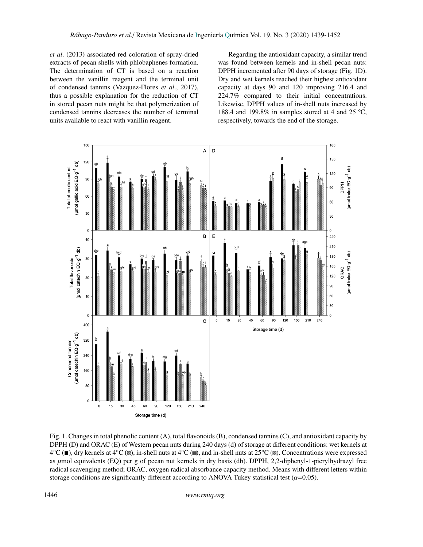*et al*. (2013) associated red coloration of spray-dried extracts of pecan shells with phlobaphenes formation. The determination of CT is based on a reaction between the vanillin reagent and the terminal unit of condensed tannins (Vazquez-Flores *et al*., 2017), thus a possible explanation for the reduction of CT in stored pecan nuts might be that polymerization of condensed tannins decreases the number of terminal units available to react with vanillin reagent.

Regarding the antioxidant capacity, a similar trend was found between kernels and in-shell pecan nuts: DPPH incremented after 90 days of storage (Fig. 1D). Dry and wet kernels reached their highest antioxidant capacity at days 90 and 120 improving 216.4 and 224.7% compared to their initial concentrations. Likewise, DPPH values of in-shell nuts increased by 188.4 and 199.8% in samples stored at 4 and 25 ºC, respectively, towards the end of the storage.



Fig. 1. Changes in total phenolic content (A), total flavonoids (B), condensed tannins (C), and antioxidant capacity by DPPH (D) and ORAC (E) of Western pecan nuts during 240 days (d) of storage at different conditions: wet kernels at  $4^{\circ}C$  ( $\blacksquare$ ), dry kernels at  $4^{\circ}C$  ( $\blacksquare$ ), in-shell nuts at  $4^{\circ}C$  ( $\blacksquare$ ), and in-shell nuts at  $25^{\circ}C$  ( $\blacksquare$ ). Concentrations were expressed as  $\mu$ mol equivalents (EQ) per g of pecan nut kernels in dry basis (db). DPPH, 2,2-diphenyl-1-picrylhydrazyl free radical scavenging method; ORAC, oxygen radical absorbance capacity method. Means with different letters within storage conditions are significantly different according to ANOVA Tukey statistical test ( $\alpha$ =0.05).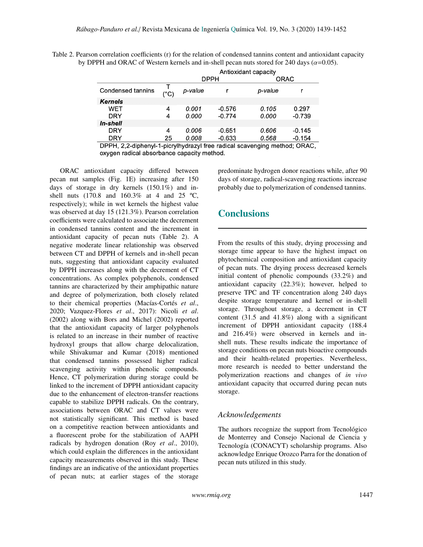Table 2. Pearson correlation coefficients (r) for the relation of condensed tannins content and antioxidant capacity by DPPH and ORAC of Western kernels and in-shell pecan nuts stored for 240 days ( $\alpha$ =0.05).

|                                                                           |               | Antioxidant capacity |             |             |          |  |  |  |  |
|---------------------------------------------------------------------------|---------------|----------------------|-------------|-------------|----------|--|--|--|--|
|                                                                           |               |                      | <b>DPPH</b> | <b>ORAC</b> |          |  |  |  |  |
| Condensed tannins                                                         | $(^{\circ}C)$ | p-value              |             | p-value     |          |  |  |  |  |
| <b>Kernels</b>                                                            |               |                      |             |             |          |  |  |  |  |
| <b>WET</b>                                                                | 4             | 0.001                | $-0.576$    | 0.105       | 0.297    |  |  |  |  |
| <b>DRY</b>                                                                | 4             | 0.000                | $-0.774$    | 0.000       | $-0.739$ |  |  |  |  |
| In-shell                                                                  |               |                      |             |             |          |  |  |  |  |
| <b>DRY</b>                                                                | 4             | 0.006                | $-0.651$    | 0.606       | $-0.145$ |  |  |  |  |
| <b>DRY</b>                                                                | 25            | 0.008                | $-0.633$    | 0.568       | $-0.154$ |  |  |  |  |
| DPPH, 2,2-diphenyl-1-picrylhydrazyl free radical scavenging method; ORAC, |               |                      |             |             |          |  |  |  |  |

oxygen radical absorbance capacity method.

ORAC antioxidant capacity differed between pecan nut samples (Fig. 1E) increasing after 150 days of storage in dry kernels (150.1%) and inshell nuts (170.8 and 160.3% at 4 and 25 ºC, respectively); while in wet kernels the highest value was observed at day 15 (121.3%). Pearson correlation coefficients were calculated to associate the decrement in condensed tannins content and the increment in antioxidant capacity of pecan nuts (Table 2). A negative moderate linear relationship was observed between CT and DPPH of kernels and in-shell pecan nuts, suggesting that antioxidant capacity evaluated by DPPH increases along with the decrement of CT concentrations. As complex polyphenols, condensed tannins are characterized by their amphipathic nature and degree of polymerization, both closely related to their chemical properties (Macías-Cortés *et al*., 2020; Vazquez-Flores *et al*., 2017): Nicoli *et al*. (2002) along with Bors and Michel (2002) reported that the antioxidant capacity of larger polyphenols is related to an increase in their number of reactive hydroxyl groups that allow charge delocalization, while Shivakumar and Kumar (2018) mentioned that condensed tannins possessed higher radical scavenging activity within phenolic compounds. Hence, CT polymerization during storage could be linked to the increment of DPPH antioxidant capacity due to the enhancement of electron-transfer reactions capable to stabilize DPPH radicals. On the contrary, associations between ORAC and CT values were not statistically significant. This method is based on a competitive reaction between antioxidants and a fluorescent probe for the stabilization of AAPH radicals by hydrogen donation (Roy *et al*., 2010), which could explain the differences in the antioxidant capacity measurements observed in this study. These findings are an indicative of the antioxidant properties of pecan nuts; at earlier stages of the storage predominate hydrogen donor reactions while, after 90 days of storage, radical-scavenging reactions increase probably due to polymerization of condensed tannins.

# **Conclusions**

From the results of this study, drying processing and storage time appear to have the highest impact on phytochemical composition and antioxidant capacity of pecan nuts. The drying process decreased kernels initial content of phenolic compounds (33.2%) and antioxidant capacity (22.3%); however, helped to preserve TPC and TF concentration along 240 days despite storage temperature and kernel or in-shell storage. Throughout storage, a decrement in CT content (31.5 and 41.8%) along with a significant increment of DPPH antioxidant capacity (188.4 and 216.4%) were observed in kernels and inshell nuts. These results indicate the importance of storage conditions on pecan nuts bioactive compounds and their health-related properties. Nevertheless, more research is needed to better understand the polymerization reactions and changes of *in vivo* antioxidant capacity that occurred during pecan nuts storage.

### *Acknowledgements*

The authors recognize the support from Tecnológico de Monterrey and Consejo Nacional de Ciencia y Tecnología (CONACYT) scholarship programs. Also acknowledge Enrique Orozco Parra for the donation of pecan nuts utilized in this study.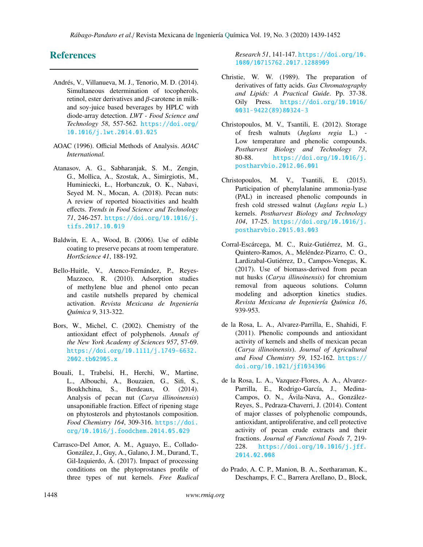# References

- Andrés, V., Villanueva, M. J., Tenorio, M. D. (2014). Simultaneous determination of tocopherols, retinol, ester derivatives and  $\beta$ -carotene in milkand soy-juice based beverages by HPLC with diode-array detection. *LWT - Food Science and Technology 58*, 557-562. [https://doi.org/](https://doi.org/10.1016/j.lwt.2014.03.025) [10.1016/j.lwt.2014.03.025](https://doi.org/10.1016/j.lwt.2014.03.025)
- AOAC (1996). Official Methods of Analysis. *AOAC International.*
- Atanasov, A. G., Sabharanjak, S. M., Zengin, G., Mollica, A., Szostak, A., Simirgiotis, M., Huminiecki, Ł., Horbanczuk, O. K., Nabavi, Seyed M. N., Mocan, A. (2018). Pecan nuts: A review of reported bioactivities and health effects. *Trends in Food Science and Technology 71*, 246-257. [https://doi.org/10.1016/j.](https://doi.org/10.1016/j.tifs.2017.10.019) [tifs.2017.10.019](https://doi.org/10.1016/j.tifs.2017.10.019)
- Baldwin, E. A., Wood, B. (2006). Use of edible coating to preserve pecans at room temperature. *HortScience 41*, 188-192.
- Bello-Huitle, V., Atenco-Fernández, P., Reyes-Mazzoco, R. (2010). Adsorption studies of methylene blue and phenol onto pecan and castile nutshells prepared by chemical activation. *Revista Mexicana de Ingeniería Química 9*, 313-322.
- Bors, W., Michel, C. (2002). Chemistry of the antioxidant effect of polyphenols. *Annals of the New York Academy of Sciences 957*, 57-69. [https://doi.org/10.1111/j.1749-6632.](https://doi.org/10.1111/j.1749-6632.2002.tb02905.x) [2002.tb02905.x](https://doi.org/10.1111/j.1749-6632.2002.tb02905.x)
- Bouali, I., Trabelsi, H., Herchi, W., Martine, L., Albouchi, A., Bouzaien, G., Sifi, S., Boukhchina, S., Berdeaux, O. (2014). Analysis of pecan nut (*Carya illinoinensis*) unsaponifiable fraction. Effect of ripening stage on phytosterols and phytostanols composition. *Food Chemistry 164*, 309-316. [https://doi.](https://doi.org/10.1016/j.foodchem.2014.05.029) [org/10.1016/j.foodchem.2014.05.029](https://doi.org/10.1016/j.foodchem.2014.05.029)
- Carrasco-Del Amor, A. M., Aguayo, E., Collado-González, J., Guy, A., Galano, J. M., Durand, T., Gil-Izquierdo, Á. (2017). Impact of processing conditions on the phytoprostanes profile of three types of nut kernels. *Free Radical*

*Research 51*, 141-147. [https://doi.org/10.](https://doi.org/10.1080/10715762.2017.1288909) [1080/10715762.2017.1288909](https://doi.org/10.1080/10715762.2017.1288909)

- Christie, W. W. (1989). The preparation of derivatives of fatty acids. *Gas Chromatography and Lipids: A Practical Guide*. Pp. 37-38. Oily Press. [https://doi.org/10.1016/](https://doi.org/10.1016/0031-9422(89)80324-3) [0031-9422\(89\)80324-3](https://doi.org/10.1016/0031-9422(89)80324-3)
- Christopoulos, M. V., Tsantili, E. (2012). Storage of fresh walnuts (*Juglans regia* L.) - Low temperature and phenolic compounds. *Postharvest Biology and Technology 73*, 80-88. [https://doi.org/10.1016/j.](https://doi.org/10.1016/j.postharvbio.2012.06.001) [postharvbio.2012.06.001](https://doi.org/10.1016/j.postharvbio.2012.06.001)
- Christopoulos, M. V., Tsantili, E. (2015). Participation of phenylalanine ammonia-lyase (PAL) in increased phenolic compounds in fresh cold stressed walnut (*Juglans regia* L.) kernels. *Postharvest Biology and Technology 104*, 17-25. [https://doi.org/10.1016/j.](https://doi.org/10.1016/j.postharvbio.2015.03.003) [postharvbio.2015.03.003](https://doi.org/10.1016/j.postharvbio.2015.03.003)
- Corral-Escárcega, M. C., Ruiz-Gutiérrez, M. G., Quintero-Ramos, A., Meléndez-Pizarro, C. O., Lardizabal-Gutiérrez, D., Campos-Venegas, K. (2017). Use of biomass-derived from pecan nut husks (*Carya illinoinensis*) for chromium removal from aqueous solutions. Column modeling and adsorption kinetics studies. *Revista Mexicana de Ingeniería Química 16*, 939-953.
- de la Rosa, L. A., Alvarez-Parrilla, E., Shahidi, F. (2011). Phenolic compounds and antioxidant activity of kernels and shells of mexican pecan (*Carya illinoinensis*). *Journal of Agricultural and Food Chemistry 59*, 152-162. [https://](https://doi.org/10.1021/jf1034306) [doi.org/10.1021/jf1034306](https://doi.org/10.1021/jf1034306)
- de la Rosa, L. A., Vazquez-Flores, A. A., Alvarez-Parrilla, E., Rodrigo-García, J., Medina-Campos, O. N., Ávila-Nava, A., González-Reyes, S., Pedraza-Chaverri, J. (2014). Content of major classes of polyphenolic compounds, antioxidant, antiproliferative, and cell protective activity of pecan crude extracts and their fractions. *Journal of Functional Foods 7*, 219- 228. [https://doi.org/10.1016/j.jff.](https://doi.org/10.1016/j.jff.2014.02.008) [2014.02.008](https://doi.org/10.1016/j.jff.2014.02.008)
- do Prado, A. C. P., Manion, B. A., Seetharaman, K., Deschamps, F. C., Barrera Arellano, D., Block,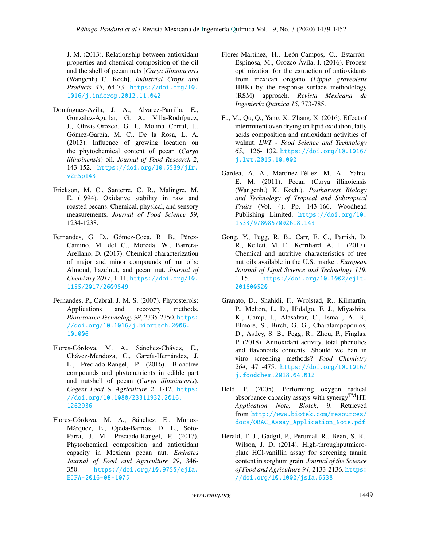J. M. (2013). Relationship between antioxidant properties and chemical composition of the oil and the shell of pecan nuts [*Carya illinoinensis* (Wangenh) C. Koch]. *Industrial Crops and Products 45*, 64-73. [https://doi.org/10.](https://doi.org/10.1016/j.indcrop.2012.11.042) [1016/j.indcrop.2012.11.042](https://doi.org/10.1016/j.indcrop.2012.11.042)

- Domínguez-Avila, J. A., Alvarez-Parrilla, E., González-Aguilar, G. A., Villa-Rodríguez, J., Olivas-Orozco, G. I., Molina Corral, J., Gómez-García, M. C., De la Rosa, L. A. (2013). Influence of growing location on the phytochemical content of pecan (*Carya illinoinensis*) oil. *Journal of Food Research 2*, 143-152. [https://doi.org/10.5539/jfr.](https://doi.org/10.5539/jfr.v2n5p143) [v2n5p143](https://doi.org/10.5539/jfr.v2n5p143)
- Erickson, M. C., Santerre, C. R., Malingre, M. E. (1994). Oxidative stability in raw and roasted pecans: Chemical, physical, and sensory measurements. *Journal of Food Science 59*, 1234-1238.
- Fernandes, G. D., Gómez-Coca, R. B., Pérez-Camino, M. del C., Moreda, W., Barrera-Arellano, D. (2017). Chemical characterization of major and minor compounds of nut oils: Almond, hazelnut, and pecan nut. *Journal of Chemistry 2017*, 1-11. [https://doi.org/10.](https://doi.org/10.1155/2017/2609549) [1155/2017/2609549](https://doi.org/10.1155/2017/2609549)
- Fernandes, P., Cabral, J. M. S. (2007). Phytosterols: Applications and recovery methods. *Bioresource Technology 98*, 2335-2350. [https:](https://doi.org/10.1016/j.biortech.2006.10.006) [//doi.org/10.1016/j.biortech.2006.](https://doi.org/10.1016/j.biortech.2006.10.006) [10.006](https://doi.org/10.1016/j.biortech.2006.10.006)
- Flores-Córdova, M. A., Sánchez-Chávez, E., Chávez-Mendoza, C., García-Hernández, J. L., Preciado-Rangel, P. (2016). Bioactive compounds and phytonutrients in edible part and nutshell of pecan (*Carya illinoinensis*). *Cogent Food* & *Agriculture 2*, 1-12. [https:](https://doi.org/10.1080/23311932.2016.1262936) [//doi.org/10.1080/23311932.2016.](https://doi.org/10.1080/23311932.2016.1262936) [1262936](https://doi.org/10.1080/23311932.2016.1262936)
- Flores-Córdova, M. A., Sánchez, E., Muñoz-Márquez, E., Ojeda-Barrios, D. L., Soto-Parra, J. M., Preciado-Rangel, P. (2017). Phytochemical composition and antioxidant capacity in Mexican pecan nut. *Emirates Journal of Food and Agriculture 29*, 346- 350. [https://doi.org/10.9755/ejfa.](https://doi.org/10.9755/ejfa.EJFA-2016-08-1075) [EJFA-2016-08-1075](https://doi.org/10.9755/ejfa.EJFA-2016-08-1075)
- Flores-Martínez, H., León-Campos, C., Estarrón-Espinosa, M., Orozco-Ávila, I. (2016). Process optimization for the extraction of antioxidants from mexican oregano (*Lippia graveolens* HBK) by the response surface methodology (RSM) approach. *Revista Mexicana de Ingeniería Química 15*, 773-785.
- Fu, M., Qu, Q., Yang, X., Zhang, X. (2016). Effect of intermittent oven drying on lipid oxidation, fatty acids composition and antioxidant activities of walnut. *LWT - Food Science and Technology 65*, 1126-1132. [https://doi.org/10.1016/](https://doi.org/10.1016/j.lwt.2015.10.002) [j.lwt.2015.10.002](https://doi.org/10.1016/j.lwt.2015.10.002)
- Gardea, A. A., Martínez-Téllez, M. A., Yahia, E. M. (2011). Pecan (Carya illinoiensis (Wangenh.) K. Koch.). *Postharvest Biology and Technology of Tropical and Subtropical Fruits* (Vol. 4). Pp. 143-166. Woodhead Publishing Limited. [https://doi.org/10.](https://doi.org/10.1533/9780857092618.143) [1533/9780857092618.143](https://doi.org/10.1533/9780857092618.143)
- Gong, Y., Pegg, R. B., Carr, E. C., Parrish, D. R., Kellett, M. E., Kerrihard, A. L. (2017). Chemical and nutritive characteristics of tree nut oils available in the U.S. market. *European Journal of Lipid Science and Technology 119*, 1-15. [https://doi.org/10.1002/ejlt.](https://doi.org/10.1002/ejlt.201600520) [201600520](https://doi.org/10.1002/ejlt.201600520)
- Granato, D., Shahidi, F., Wrolstad, R., Kilmartin, P., Melton, L. D., Hidalgo, F. J., Miyashita, K., Camp, J., Alasalvar, C., Ismail, A. B., Elmore, S., Birch, G. G., Charalampopoulos, D., Astley, S. B., Pegg, R., Zhou, P., Finglas, P. (2018). Antioxidant activity, total phenolics and flavonoids contents: Should we ban in vitro screening methods? *Food Chemistry 264*, 471-475. [https://doi.org/10.1016/](https://doi.org/10.1016/j.foodchem.2018.04.012) [j.foodchem.2018.04.012](https://doi.org/10.1016/j.foodchem.2018.04.012)
- Held, P. (2005). Performing oxygen radical absorbance capacity assays with synergy<sup>TM</sup>HT. *Application Note, Biotek*, 9. Retrieved from [http://www.biotek.com/resources/](http://www.biotek.com/resources/docs/ORAC_Assay_Application_Note.pdf) [docs/ORAC\\_Assay\\_Application\\_Note.pdf](http://www.biotek.com/resources/docs/ORAC_Assay_Application_Note.pdf)
- Herald, T. J., Gadgil, P., Perumal, R., Bean, S. R., Wilson, J. D. (2014). High-throughputmicroplate HCl-vanillin assay for screening tannin content in sorghum grain. *Journal of the Science of Food and Agriculture 94*, 2133-2136. [https:](https://doi.org/10.1002/jsfa.6538) [//doi.org/10.1002/jsfa.6538](https://doi.org/10.1002/jsfa.6538)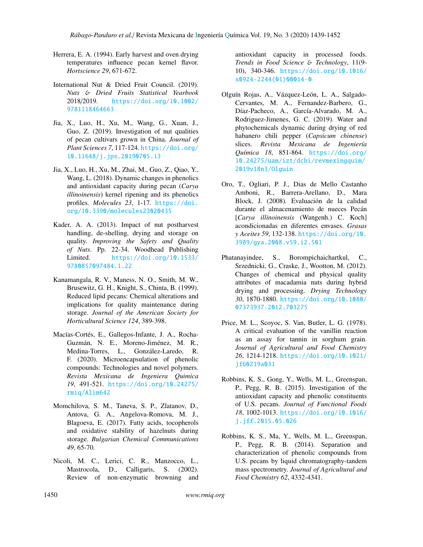- Herrera, E. A. (1994). Early harvest and oven drying temperatures influence pecan kernel flavor. *Hortscience 29*, 671-672.
- International Nut & Dried Fruit Council. (2019). *Nuts* & *Dried Fruits Statistical Yearbook* 2018/2019. [https://doi.org/10.1002/](https://doi.org/10.1002/9781118464663) [9781118464663](https://doi.org/10.1002/9781118464663)
- Jia, X., Luo, H., Xu, M., Wang, G., Xuan, J., Guo, Z. (2019). Investigation of nut qualities of pecan cultivars grown in China. *Journal of Plant Sciences 7*, 117-124. [https://doi.org/](https://doi.org/10.11648/j.jps.20190705.13) [10.11648/j.jps.20190705.13](https://doi.org/10.11648/j.jps.20190705.13)
- Jia, X., Luo, H., Xu, M., Zhai, M., Guo, Z., Qiao, Y., Wang, L. (2018). Dynamic changes in phenolics and antioxidant capacity during pecan (*Carya illinoinensis*) kernel ripening and its phenolics profiles. *Molecules 23*, 1-17. [https://doi.](https://doi.org/10.3390/molecules23020435) [org/10.3390/molecules23020435](https://doi.org/10.3390/molecules23020435)
- Kader, A. A. (2013). Impact of nut postharvest handling, de-shelling, drying and storage on quality. *Improving the Safety and Quality of Nuts*. Pp. 22-34. Woodhead Publishing Limited. [https://doi.org/10.1533/](https://doi.org/10.1533/9780857097484.1.22) [9780857097484.1.22](https://doi.org/10.1533/9780857097484.1.22)
- Kanamangala, R. V., Maness, N. O., Smith, M. W., Brusewitz, G. H., Knight, S., Chinta, B. (1999). Reduced lipid pecans: Chemical alterations and implications for quality maintenance during storage. *Journal of the American Society for Horticultural Science 124*, 389-398.
- Macías-Cortés, E., Gallegos-Infante, J. A., Rocha-Guzmán, N. E., Moreno-Jiménez, M. R., Medina-Torres, L., González-Laredo, R. F. (2020). Microencapsulation of phenolic compounds: Technologies and novel polymers. *Revista Mexicana de Ingeniera Quimica 19*, 491-521. [https://doi.org/10.24275/](https://doi.org/10.24275/rmiq/Alim642) [rmiq/Alim642](https://doi.org/10.24275/rmiq/Alim642)
- Momchilova, S. M., Taneva, S. P., Zlatanov, D., Antova, G. A., Angelova-Romova, M. J., Blagoeva, E. (2017). Fatty acids, tocopherols and oxidative stability of hazelnuts during storage. *Bulgarian Chemical Communications 49*, 65-70.
- Nicoli, M. C., Lerici, C. R., Manzocco, L., Mastrocola, D., Calligaris, S. (2002). Review of non-enzymatic browning and

antioxidant capacity in processed foods. *Trends in Food Science* & *Technology*, 11(9- 10), 340-346. [https://doi.org/10.1016/](https://doi.org/10.1016/s0924-2244(01)00014-0) [s0924-2244\(01\)00014-0](https://doi.org/10.1016/s0924-2244(01)00014-0)

- Olguín Rojas, A., Vázquez-León, L. A., Salgado-Cervantes, M. A., Fernandez-Barbero, G., Díaz-Pacheco, A., García-Alvarado, M. A., Rodriguez-Jimenes, G. C. (2019). Water and phytochemicals dynamic during drying of red habanero chili pepper (*Capsicum chinense*) slices. *Revista Mexicana de Ingeniería Química 18*, 851-864. [https://doi.org/](https://doi.org/10.24275/uam/izt/dcbi/revmexingquim/2019v18n3/Olguin) [10.24275/uam/izt/dcbi/revmexingquim/](https://doi.org/10.24275/uam/izt/dcbi/revmexingquim/2019v18n3/Olguin) [2019v18n3/Olguin](https://doi.org/10.24275/uam/izt/dcbi/revmexingquim/2019v18n3/Olguin)
- Oro, T., Ogliari, P. J., Dias de Mello Castanho Amboni, R., Barrera-Arellano, D., Mara Block, J. (2008). Evaluación de la calidad durante el almacenamiento de nueces Pecán [*Carya illinoinensis* (Wangenh.) C. Koch] acondicionadas en diferentes envases. *Grasas y Aceites 59*, 132-138. [https://doi.org/10.](https://doi.org/10.3989/gya.2008.v59.i2.501) [3989/gya.2008.v59.i2.501](https://doi.org/10.3989/gya.2008.v59.i2.501)
- Phatanayindee, S., Borompichaichartkul, C., Srzednicki, G., Craske, J., Wootton, M. (2012). Changes of chemical and physical quality attributes of macadamia nuts during hybrid drying and processing. *Drying Technology 30*, 1870-1880. [https://doi.org/10.1080/](https://doi.org/10.1080/07373937.2012.703275) [07373937.2012.703275](https://doi.org/10.1080/07373937.2012.703275)
- Price, M. L., Scoyoc, S. Van, Butler, L. G. (1978). A critical evaluation of the vanillin reaction as an assay for tannin in sorghum grain. *Journal of Agricultural and Food Chemistry 26*, 1214-1218. [https://doi.org/10.1021/](https://doi.org/10.1021/jf60219a031) [jf60219a031](https://doi.org/10.1021/jf60219a031)
- Robbins, K. S., Gong, Y., Wells, M. L., Greenspan, P., Pegg, R. B. (2015). Investigation of the antioxidant capacity and phenolic constituents of U.S. pecans. *Journal of Functional Foods 18*, 1002-1013. [https://doi.org/10.1016/](https://doi.org/10.1016/j.jff.2015.05.026) [j.jff.2015.05.026](https://doi.org/10.1016/j.jff.2015.05.026)
- Robbins, K. S., Ma, Y., Wells, M. L., Greenspan, P., Pegg, R. B. (2014). Separation and characterization of phenolic compounds from U.S. pecans by liquid chromatography-tandem mass spectrometry. *Journal of Agricultural and Food Chemistry 62*, 4332-4341.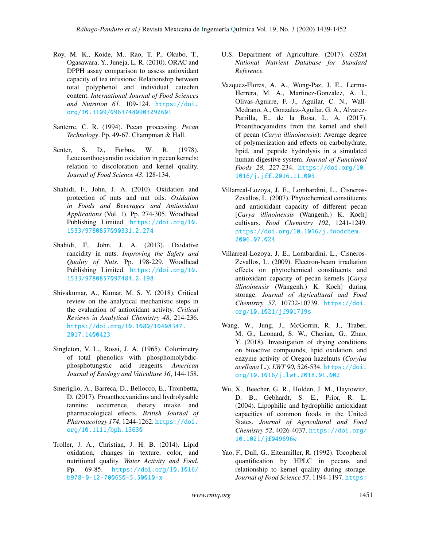- Roy, M. K., Koide, M., Rao, T. P., Okubo, T., Ogasawara, Y., Juneja, L. R. (2010). ORAC and DPPH assay comparison to assess antioxidant capacity of tea infusions: Relationship between total polyphenol and individual catechin content. *International Journal of Food Sciences and Nutrition 61*, 109-124. [https://doi.](https://doi.org/10.3109/09637480903292601) [org/10.3109/09637480903292601](https://doi.org/10.3109/09637480903292601)
- Santerre, C. R. (1994). Pecan processing. *Pecan Technology*. Pp. 49-67. Champman & Hall.
- Senter, S. D., Forbus, W. R. (1978). Leucoanthocyanidin oxidation in pecan kernels: relation to discoloration and kernel quality. *Journal of Food Science 43*, 128-134.
- Shahidi, F., John, J. A. (2010). Oxidation and protection of nuts and nut oils. *Oxidation in Foods and Beverages and Antioxidant Applications* (Vol. 1). Pp. 274-305. Woodhead Publishing Limited. [https://doi.org/10.](https://doi.org/10.1533/9780857090331.2.274) [1533/9780857090331.2.274](https://doi.org/10.1533/9780857090331.2.274)
- Shahidi, F., John, J. A. (2013). Oxidative rancidity in nuts. *Improving the Safety and Quality of Nuts*. Pp. 198-229. Woodhead Publishing Limited. [https://doi.org/10.](https://doi.org/10.1533/9780857097484.2.198) [1533/9780857097484.2.198](https://doi.org/10.1533/9780857097484.2.198)
- Shivakumar, A., Kumar, M. S. Y. (2018). Critical review on the analytical mechanistic steps in the evaluation of antioxidant activity. *Critical Reviews in Analytical Chemistry 48*, 214-236. [https://doi.org/10.1080/10408347.](https://doi.org/10.1080/10408347.2017.1400423) [2017.1400423](https://doi.org/10.1080/10408347.2017.1400423)
- Singleton, V. L., Rossi, J. A. (1965). Colorimetry of total phenolics with phosphomolybdicphosphotungstic acid reagents. *American Journal of Enology and Viticulture 16*, 144-158.
- Smeriglio, A., Barreca, D., Bellocco, E., Trombetta, D. (2017). Proanthocyanidins and hydrolysable tannins: occurrence, dietary intake and pharmacological effects. *British Journal of Pharmacology 174*, 1244-1262. [https://doi.](https://doi.org/10.1111/bph.13630) [org/10.1111/bph.13630](https://doi.org/10.1111/bph.13630)
- Troller, J. A., Christian, J. H. B. (2014). Lipid oxidation, changes in texture, color, and nutritional quality. *Water Activity and Food*. Pp. 69-85. [https://doi.org/10.1016/](https://doi.org/10.1016/b978-0-12-700650-5.50010-x) [b978-0-12-700650-5.50010-x](https://doi.org/10.1016/b978-0-12-700650-5.50010-x)
- U.S. Department of Agriculture. (2017). *USDA National Nutrient Database for Standard Reference.*
- Vazquez-Flores, A. A., Wong-Paz, J. E., Lerma-Herrera, M. A., Martinez-Gonzalez, A. I., Olivas-Aguirre, F. J., Aguilar, C. N., Wall-Medrano, A., Gonzalez-Aguilar, G. A., Alvarez-Parrilla, E., de la Rosa, L. A. (2017). Proanthocyanidins from the kernel and shell of pecan (*Carya illinoinensis*): Average degree of polymerization and effects on carbohydrate, lipid, and peptide hydrolysis in a simulated human digestive system. *Journal of Functional Foods 28*, 227-234. [https://doi.org/10.](https://doi.org/10.1016/j.jff.2016.11.003) [1016/j.jff.2016.11.003](https://doi.org/10.1016/j.jff.2016.11.003)
- Villarreal-Lozoya, J. E., Lombardini, L., Cisneros-Zevallos, L. (2007). Phytochemical constituents and antioxidant capacity of different pecan [*Carya illinoinensis* (Wangenh.) K. Koch] cultivars. *Food Chemistry 102*, 1241-1249. [https://doi.org/10.1016/j.foodchem.](https://doi.org/10.1016/j.foodchem.2006.07.024) [2006.07.024](https://doi.org/10.1016/j.foodchem.2006.07.024)
- Villarreal-Lozoya, J. E., Lombardini, L., Cisneros-Zevallos, L. (2009). Electron-beam irradiation effects on phytochemical constituents and antioxidant capacity of pecan kernels [*Carya illinoinensis* (Wangenh.) K. Koch] during storage. *Journal of Agricultural and Food Chemistry 57*, 10732-10739. [https://doi.](https://doi.org/10.1021/jf901719s) [org/10.1021/jf901719s](https://doi.org/10.1021/jf901719s)
- Wang, W., Jung, J., McGorrin, R. J., Traber, M. G., Leonard, S. W., Cherian, G., Zhao, Y. (2018). Investigation of drying conditions on bioactive compounds, lipid oxidation, and enzyme activity of Oregon hazelnuts (*Corylus avellana* L.). *LWT 90*, 526-534. [https://doi.](https://doi.org/10.1016/j.lwt.2018.01.002) [org/10.1016/j.lwt.2018.01.002](https://doi.org/10.1016/j.lwt.2018.01.002)
- Wu, X., Beecher, G. R., Holden, J. M., Haytowitz, D. B., Gebhardt, S. E., Prior, R. L. (2004). Lipophilic and hydrophilic antioxidant capacities of common foods in the United States. *Journal of Agricultural and Food Chemistry 52*, 4026-4037. [https://doi.org/](https://doi.org/10.1021/jf049696w) [10.1021/jf049696w](https://doi.org/10.1021/jf049696w)
- Yao, F., Dull, G., Eitenmiller, R. (1992). Tocopherol quantification by HPLC in pecans and relationship to kernel quality during storage. *Journal of Food Science 57*, 1194-1197. [https:](https://doi.org/10.1111/j.1365-2621.1992.tb11297.x)